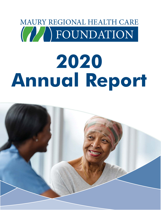# MAURY REGIONAL HEALTH CARE FOUNDATION

# **2020 Annual Report**

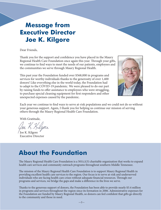## **Message from Executive Director Joe K. Kilgore**

Dear Friends,

Thank you for the support and confidence you have placed in the Maury Regional Health Care Foundation once again this year. Through your gifts, we continue to find ways to meet the needs of our patients, employees and the communities we serve through Maury Regional Health.

This past year the Foundation funded over \$568,000 in programs and services for worthy individuals thanks to the generosity of over 1,400 donors! Like everything else in the world today, the Foundation had to adapt to the COVID-19 pandemic. We were pleased to do our part by raising funds to offer assistance to employees who were struggling, to purchase special cleaning equipment for first responders and other unexpected expenses caused by the pandemic.



Each year we continue to find ways to serve at-risk populations and we could not do so without your generous support. Again, I thank you for helping us continue our mission of serving others through the Maury Regional Health Care Foundation.

With Gratitude,

Joe K. Kilgore Executive Director

## **About the Foundation**

The Maury Regional Health Care Foundation is a  $501(c)(3)$  charitable organization that works to expand health care services and community outreach programs throughout southern Middle Tennessee.

The mission of the Maury Regional Health Care Foundation is to support Maury Regional Health in providing excellent health care services to the region. Our focus is to serve at-risk and underserved individuals who are facing health care crises without adequate financial resources. Through our programs and services, we bridge the gaps and make a difference in the lives we serve.

Thanks to the generous support of donors, the Foundation has been able to provide nearly \$3.4 million in programs and services throughout the region since its formation in 2006. Administrative expenses for the Foundation are funded by Maury Regional Health, so donors can feel confident that gifts go directly to the community and those in need.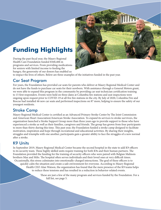

## **Funding Highlights**

During the past fiscal year, the Maury Regional Health Care Foundation funded \$568,406 in programs and services. From providing medications for seniors with limited income to feeding the hungry, the generosity of our donors has enabled us

to impact the lives of others. Below are three examples of the initiatives funded in the past year.

#### Car Seat Program

For years, the Foundation has provided car seats for parents who deliver at Maury Regional Medical Center and do not have the funds to purchase car seats for their newborn. With assistance through a General Motors grant, we were able to expand this program in the community by providing car seat technician certification training to 15 first responders. Events were held on three dates at Columbia fire stations and seat inspections were ongoing upon request prior to COVID-19 at all five fire stations in the city. By July of 2020, Columbia Fire and Rescue had installed 46 new car seats and performed inspections on 87 more, helping to ensure the safety of our youngest residents.

#### Stroke Camp

Maury Regional Medical Center is certified as an Advanced Primary Stroke Center by The Joint Commission and American Heart Association/American Stroke Association. To expand its services to stroke survivors, the organization launched a Stroke Support Group more than three years ago to provide support to those who have experienced a stroke as well as their families, caregivers and friends. The group has grown from four participants to more than thirty during this time. This past year, the Foundation funded a stroke camp designed to facilitate motivation, inspiration and hope through recreational and educational activities. By sharing their insights, struggles and triumphs with one another, participants gain a greater ability to face the struggles of a new normal after a stroke.

#### K9 Units

In September 2019, Maury Regional Medical Center became the second hospital in the state to add K9 officers to its security team. These highly skilled units require training for both K9s and their human partners. The Foundation provided the funding for the training of security officers who were paired with Belgian Malinois brothers Max and Milo. The hospital often serves individuals and their loved ones at very difficult times. Occasionally, this stress culminates into emotionally-charged interactions. The goal of these officers is to quickly calm the situation and create a safe environment for everyone. According to Maury Regional Health CEO Alan Watson, the organization has found that the mere presence of the K9 teams helps to reduce these tensions and has resulted in a reduction in behavior-related events.

—3—

These are just a few of the many program and services funded by the Foundation. For a full list, see page 5.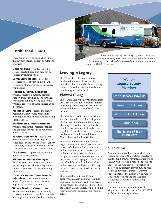#### **Established Funds**

There are a variety of established funds that support specific patient populations or causes.

**General Fund** – funds are used for areas of greatest need that may not be covered by another fund.

**Community Health** – provides resources to assist with unmet health care needs of underserved or uninsured populations.

**Friends & Family Nutrition** – provides meals to a patient's primary support member while in our care and/ or assists in funding a food pantry that provides groceries to those in need upon discharge.

**Palliative Care** – assists the Maury Regional Palliative Care program in meeting the unique needs of those facing chronic illness.

**Medication & Transportation** – provides medication, medical supplies and gas cards for patients experiencing financial need.

**Service Area Funds** – assists with prescription costs, medical expenses and other needs in the service areas of cancer, cardiology, diabetes, neonatal intensive care, pediatrics and breast health services.

**The Retreat** – operates a hospitality home for cancer patients.

**William R. Walter Employee Assistance** – assists Maury Regional Health employees who have experienced an unexpected crisis or for continuing education.

**Dr. Eslick Daniel Youth Health Initiatives** – provides educational materials and resources for projects improving the health of youth.

**Wayne Medical Center** – assists patients and employees of this facility experiencing financial need and provides funding for community health care needs.



*touched the lives of 6,034 individuals and provided 2,993 free screenings to at-risk and underserved populations throughout southern Middle Tennessee.*

#### **Leaving a Legacy**

The Foundation offers several ways in which donors may leave a lasting impact on others, namely planned giving through the Walton Legacy Society and establishing an endowment.

#### *Planned Giving*

The Walton Legacy Society is named after Dr. Charles D. Walton, a prominent force in bringing Maury Regional Hospital to reality and the first chief of staff of the hospital.

This society is used to honor individuals who have included the Maury Regional Health Care Foundation in their estate planning. The Walton Legacy Society members are prominently listed at the top of the Foundation donor recognition display located in the main lobby of Maury Regional Medical Center.

To become a member of the Walton Legacy Society, the donor's estate planner must notify the Foundation in writing of their estate plans for a deferred gift to the Foundation. Membership is recognized when the Foundation receives documentation verifying that the donor has left a deferred gift to the Foundation in their estate plans. Deferred gifts may be unrestricted or restricted and can be endowed.

The Foundation is proud to be a partner with Maury Regional Health in addressing the unmet health care needs in our region. Those who are honored by the Walton Legacy Society will be helping many deserving individuals for years to come.



#### *Endowment*

An endowment is a fund established for a specific purpose with donations invested so that the fund grows over time. Donations of \$25,000 will establish a named endowment and — as the fund grows — a portion of interest or investment growth may be used for the endowment's purpose. Current endowments are the Robert Otwell Cancer Center Endowment and the Wellness & Aquatics Complex Healthy Living Endowment.

For more information, contact Joe K. Kilgore, executive director, at 931.380.4075 or *jkilgore@mauryregional.com*.

—4—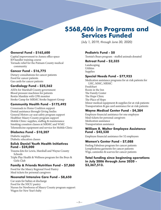### **\$568,406 in Programs and Services Funded**

*(July 1, 2019, through June 30, 2020)*

#### **General Fund - \$165,600**

Capital improvement to Annex office space K9 handler training course Tornado relief for the Putnam County medical community

#### **Cancer Fund - \$16,775**

Dietary consultations for cancer patients Food for cancer patients Gas cards for cancer patients

#### **Cardiology Fund - \$25,562**

AEDs for Marshall County government Blood pressure machines for patients Restin Manikin with CPR monitor Stroke Camp for MRMC Stroke Support Group

#### **Community Health Fund - \$175,492**

Crossroads to Home Coalition support Dental assistance through Giving Smiles General Motors car seat safety program support Healthier Maury County program support Mobile Clinic: supplies, staffing & maintenance Smoking cessation classes at MRMC and WMC Telemedicine equipment and service for Mobile Clinic

#### **Diabetes Fund - \$10,207**

Diabetic supplies Diabetic education classes

#### **Eslick Daniel Youth Health Initiatives Fund - \$24,000**

Trauma kits for Lewis, Marshall and Wayne County Schools

Triple Play Health & Wellness program for the Boys & Girls Club

#### **Family & Friends Nutrition Fund - \$7,860**

Food for the Maury Regional Food Pantry Meal tickets for personal caregivers

#### **Neonatal Intensive Care Fund - \$8,650**

Car seats for babies at discharge Food for the NICU pantry Nurses for Newborns of Maury County program support Wagon for New Year's baby

#### **Pediatric Fund - \$0**

Tootsie's Bears program - stuffed animals donated

#### **Retreat Fund - \$2,335**

Landscaping **Utilities** Supplies

#### **Special Needs Fund - \$77,923**

Medication assistance programs for at-risk patients for LHC, MMC, MRMC FreshStart Room in the Inn The Family Center The Hope Clinic The Place of Hope Minor medical equipment & supplies for at-risk patients Transportation & gas card assistance for at-risk patients

#### **Wayne Medical Center Fund - \$4,384**

Employee financial assistance for one employee Meal tickets for personal caregivers Medication assistance Transportation assistance

#### **William R. Walter Employee Assistance Fund - \$42,530**

Employee financial assistance for 52 employees

#### **Women's Center Fund - \$7,088**

Feeling Fabulous program for cancer patients Lymphedema garments for cancer patients Wigs, camisoles & scarves for cancer patients

#### **Total funding since beginning operations in July 2006 through June 2020 - \$3,367,513.**

—5—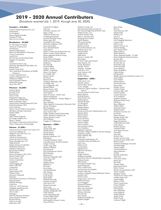#### **2019 - 2020 Annual Contributors**

*(Donations received July 1, 2019, through June 30, 2020)*

#### **Founders - \$10,000+**

Anchor Health Properties DE, LLC Anonymous Lee Company Maury Regional Health Daxaben P. Patel Mary & Con Vrailas

#### **Benefactors - \$5,000**

Dr. Jeff Adams & Family American Constructors Anonymous David & Nikki Baxter BlueCross BlueShield of Tennessee Cerner Corporation Laurel Derr First Farmers & Merchants Bank Knights of Columbus Littler Amandia & Chris Long Morrison Management Specialists, Inc. Reliant Bank Nick & Cindy Swift The Community Foundation of Middle Tennessee Connie Tong-Morrison Uniform Headquarters, Inc. William R. Walter Alan & Michele Watson Wold HFR Design Grace Wu, MD

#### **Pioneers - \$2,500+**

Darlene Baxter Kenneth Boyd Kaye Brewer Cherri Clark Diagnostica Stago, Inc. Farm Bureau Health Plans Rebecca Hawkins, PhD Jennie Harris Southall Memorial Trust Mark Kirschbaum, PhD Land Uniforms Maury County Medical Association Meridian Leasing Corporation Nathan Miller Navigant NHC Maury Regional RJ Young Company, Inc. Mary G. Snyder The Kroger Community Advised Fund Waste Connections of Mississippi

#### **Patrons - \$1,000+**

Advanced Foot & Ankle Care Centers, PC AeroCare Holding, Inc. Allegiant Linen Services, LLC Stephanie Allred American Constructors American Paper & Twine Baxter Management, LLC Hugh Bennett Benton Nissan of Columbia Jeff Binkley, PharmD William E. Blackstone Rick & Diane Bolton Phyllis Brown Brown & Maguire CPAs, PLLC Martin Chaney, MD Kevin Chunn, MD Cintas Corporation CloudWave CMS Imaging, Inc. Mark Cobb, MD Compassus Terry Cook Eslick Daniel, MD<br>Thelma Dixon Rosemary Edmonds Experian Farm Bureau Insurance of Tennessee Michael Fecher Melinda Fleming Cindy Fox Frito-Lay - WIN Network Gallagher Benefit Services<br>Shawn Gentry, MD Tom Grosko Healogics Helen & Waymon Hickman Home Medical Products Beverly Horner IAFF Local 4381 Kelly Kays, MD

Carroll & Joe Kilgore LabCorp Christina Lannom, DO Roger Larkin Adrienne & John Law Lewisburg Properties Lincoln Financial Group Maura Lipp, MD Listerhill Credit Union Deborah Lumpkins, DNP Susan MacArthur Stacy Marshall Smith Greg Martin Maury County Fair & Exposition, Inc. Maury County Visitors Bureau Maury Regional Medical Group Diane McKee Emily & Ben McKnight MedCycle Management Medtronic Eric Merrell Michael Miller Linda L. Moore MRMC Cardiology Music City Floors B.I. Naddy, PhD Robert Otwell Jim Parcel Houston Parks Christian Petrauskis, MD Joe Philip, MD Gary Podgorski, MD Russell Pothier Reams Powers, MD<br>Thomas Quinn, MD Dana Salters Santa Fe School - HOSA Club Marion Sengstacke Shelter Foundation - Tommy Hight, Jr. Jeff Smith Taps Off Main Theta Family & Community Education Club Janene Thompson<br>Rita Thompson TriHaz Solutions, LLC Chris Turner, MD Walker Family Limited Partnership Waters Machine Company, Inc. Wayne Medical Center Pam Williams Douglas W. Williamson **Sponsors - \$500+** April Allen Charles Ball, MD

Martha Barron Charles Beam Brenda Bishop BlueLyte Solutions, LLC Ben Bolton Columbia Pediatric Clinic Columbia Power & Water Systems Ginger Cothran David Craig, PhD Melissa Davidson Kim Edwards First Presbyterian Church Beth Fleming Sherian Fox Deborah Goldsmith, MD Susan Gray, MD Cindy Hall Stephen Hanes Harb & Co Ron Hart Scott Hayes Van Hendrickson Pitts Hinson Frances Holt Sarah Hunter Karen Kelly Michelle Kennedy Nicholas Kuzmich Lala Laura, LLC Edward Lancaster Amy Long Magnet Solutions, Inc. Dayaker Mallipeddi, MD Cathy Malone Kevin Maquiling, MD Christa Martin, EdD Scott McCall, MD McDonald's of Maury County Dacia McEvers

McEwen Group, LLC Mid-Tennessee Bone & Joint, PC Mt. Pleasant High School HOSA Club Muletown Rec, LLC Andrew Nielsen, MD Mary E. Overton, MD Kristin & Drew Parker April Pilkinton Pinewood Springs Lyndall Propst Barbara Purcell Receivable Solutions, Inc. Redman-Davis, Inc. Damian Ribar Angela Rosen Mike Short Steven C. Smith, MD Rita Stokes St. Peter's Episcopal Church State Systems, Inc. Cindy Thompson Jennifer Towers Trimark - Strategic Vanh Dy's, LLC Amy Vertrees, MD Kathy Watts Debbie Webster **Supporters - \$200+**

3DR Labs II, LLC Jennifer Adams Jenny & Russ Adcox Carey Albright American Legion Auxiliary - Veterans Fund Unit 19 Ascend Federal Credit Union Renee Barnett Michael Barton Beck Dental Care Debbie Becker Rhonda Bennett Lori Bergland Madora Bevis Barbara Bishop Ted Bradshaw Brentwood Services Administrators, Inc. Melody Brink Marissa Burns Robert Butler Jessica Bytwerk Jerry Campbell Alison Carlisle Dawn Cashion Kim & Mark Cashion Lisa Chambers Stephanie Chatman Cherokee Village Landfill & Ash Flat Hauling Kimberly Clayton Rufus Clifford, MD Neal Coke Columbia Orthodontics, PC Columbia Paint and Wallcover Judy Cross Elaine Curtis Crystal Davis Glenda Davis DB's Eats and Beats Jill Deen Ginger Dickens William Dinwiddie Duck River Electric Membership Corporation Melanie Eastep Misty Eaton Encompass Health Corp Sarah Fitzgerald Flow Construction Ford Lincoln of Columbia Jennifer Gidcomb Godwin-Chappell United Methodist Church Jennifer Gray Denise Green Greg Lemon, CPA, PLLC Sheila Grossman Larry Haggard Rosemary Hataway Christina Henze Mary Ann Hoelscher Henry Hornbaker Rebecca Horning Keri Howell Kim Howell Katherine Huddleston Stephen Hughes

Brian Hupp JRN Inc. Amit Keswani, MD Natalie Kidd Bethany Lay Lori Lee Robin Lemay Life Changing Ministries Connie Lintz Debra Lyons Mailer's Choice, Inc. Pamela Mandig Kaye Marlin-Parks Sharon Martin Eddie Matthews Maury Regional Health - IT Staff Maury Regional Ostomy Partners Beverly May Allison McCord Beverly McCoy Sarah McCurdy Jack McDonald Laura McElroy Renee McKibben Cathy McKim Jeff Meredith Middle Tennessee Detention Center, LLC Karen Miller Chaz Molder Edward Moore Cheryl Morrison James Nash Heather Norris Candice Organ Dominic Papa, MD Pamela Parham Connie Patterson PCA Southeast Madelyn Peresich Physician Realty Trust Jeff Pierce Mary Pilkinton Debbra Pillow Deborah Poarch Abigail Ponder Preventia Security, LLC Joy Prince Gaines Ramsey Bhaskar Reddy, MD Amy Richardson Peggy Richardson Linda Robertson Hull Lesley Russo Dianna Sanchez Amanda Schatz Scott Waste Services Lisa Selbe John Siler Jackson Sims Smelter Service Corp. Luranne & Tony Smith, MD Sharon South Southern Radiology Associates Amanda Staggs Tammy Stokes Carol Stooksberry Karen Summers SVMIC Michele Tankersley Misti Tant Chavarous Taylor Renee Tew Bob Tillis Charles Tisher John David Tresch Robert Turner Harish Veeramachaneni, MD Alison Venable Mangala Venkat Vision Service Plan (VSP) Freddie Wade, MD Aaron Waldie Kathryn Walls Waste Connections Donna Watkins Jackie Welch Dan Wheeler John Whiteside Greg Whitlock Doug Williams Walter Wood Shelli Woody Carleton Wright

—6—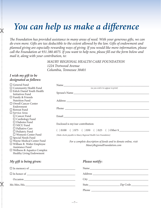## *You can help us make a difference*

The Foundation has provided assistance in many areas of need. With your generous gifts, we can *do even more. Gifts are tax deductible to the extent allowed by the law. Gifts of endowment and planned giving are especially rewarding ways of giving. If you would like more information, please*  call the Foundation at 931.380.4075. If you want to help now, please fill out the form below and *mail it, along with your contribution, to:*

> *MAURY REGIONAL HEALTH CARE FOUNDATION 1224 Trotwood Avenue Columbia, Tennessee 38401*

#### *I wish my gift to be designated as follows:*

 $\chi$ 

 $\mathbb{X}$ 

| $\Box$ General Fund                |                                                                 |
|------------------------------------|-----------------------------------------------------------------|
| $\Box$ Community Health Fund       | (as you wish it to appear in print)                             |
| $\Box$ Eslick Daniel Youth Health  |                                                                 |
| Initiatives Fund                   |                                                                 |
| $\Box$<br>Family & Friends         |                                                                 |
| Nutrition Fund                     |                                                                 |
| □ Otwell Cancer Center             |                                                                 |
| Endowment                          |                                                                 |
| $\Box$ Retreat Fund                |                                                                 |
| $\Box$ Service Area:               |                                                                 |
| $\Box$ Cancer Fund                 |                                                                 |
| $\Box$ Cardiology Fund             |                                                                 |
| $\square$ Diabetes Fund            |                                                                 |
| $\Box$ NICU Fund                   | Enclosed is my/our contribution:                                |
| $\Box$ Palliative Care             |                                                                 |
| $\Box$ Pediatric Fund              | $( ) $100 ( ) $75 ( ) $50 ( ) $25 ( ) Other $$                  |
| □ Women's Center Fund              | (Make checks payable to Maury Regional Health Care Foundation)  |
| $\square$ Special Needs Fund       |                                                                 |
| $\Box$ Wayne Medical Center Fund   | For a complete description of funds and to donate online, visit |
| $\Box$ William R. Walter Employee  |                                                                 |
| Assistance Fund                    | MauryRegionalFoundation.com                                     |
| $\Box$ Wellness & Aquatics Complex |                                                                 |
| Healthy Living Endowment           |                                                                 |
|                                    |                                                                 |
|                                    |                                                                 |
| My gift is being given:            | Please notify:                                                  |
|                                    |                                                                 |
|                                    |                                                                 |
|                                    |                                                                 |
|                                    |                                                                 |
| Mr./Mrs./Ms.                       |                                                                 |
|                                    |                                                                 |